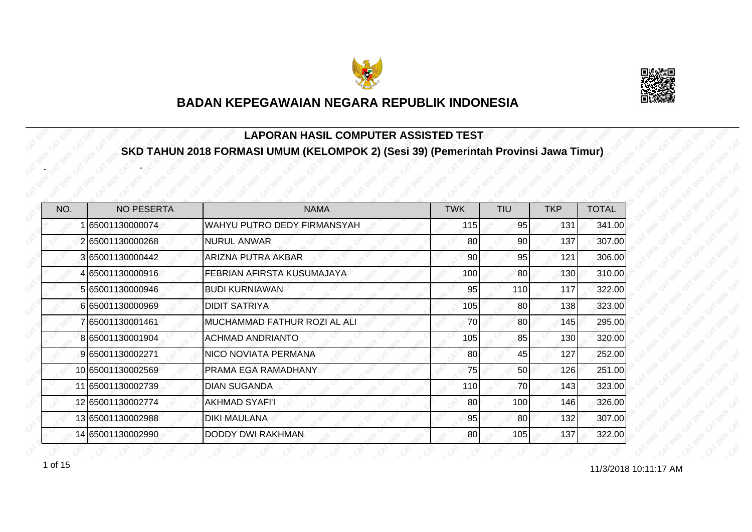



#### **LAPORAN HASIL COMPUTER ASSISTED TEST SKD TAHUN 2018 FORMASI UMUM (KELOMPOK 2) (Sesi 39) (Pemerintah Provinsi Jawa Timur)**

| NO. | <b>NO PESERTA</b> | <b>NAMA</b>                  | <b>TWK</b> | <b>TIU</b> | <b>TKP</b> | <b>TOTAL</b> |
|-----|-------------------|------------------------------|------------|------------|------------|--------------|
|     | 65001130000074    | WAHYU PUTRO DEDY FIRMANSYAH  | 115        | 95         | 131        | 341.00       |
|     | 265001130000268   | <b>NURUL ANWAR</b>           | 80         | 90         | 137        | 307.00       |
|     | 3 65001130000442  | <b>ARIZNA PUTRA AKBAR</b>    | 90         | 95         | 121        | 306.00       |
|     | 4 65001130000916  | FEBRIAN AFIRSTA KUSUMAJAYA   | 100        | 80         | 130        | 310.00       |
|     | 5 65001130000946  | <b>BUDI KURNIAWAN</b>        | 95         | 110        | 117        | 322.00       |
|     | 665001130000969   | <b>DIDIT SATRIYA</b>         | 105        | 80         | 138        | 323.00       |
|     | 7 65001130001461  | MUCHAMMAD FATHUR ROZI AL ALI | 70         | 80         | 145        | 295.00       |
|     | 8 65001130001904  | <b>ACHMAD ANDRIANTO</b>      | 105        | 85         | 130        | 320.00       |
|     | 9 65001130002271  | <b>NICO NOVIATA PERMANA</b>  | 80         | 45         | 127        | 252.00       |
|     | 10 65001130002569 | PRAMA EGA RAMADHANY          | 75         | 50         | 126        | 251.00       |
|     | 11 65001130002739 | <b>DIAN SUGANDA</b>          | 110        | 70         | 143        | 323.00       |
|     | 12 65001130002774 | <b>AKHMAD SYAFI'I</b>        | 80         | 100        | 146        | 326.00       |
|     | 13 65001130002988 | <b>DIKI MAULANA</b>          | 95         | 80         | 132        | 307.00       |
|     | 14 65001130002990 | <b>DODDY DWI RAKHMAN</b>     | 80         | 105        | 137        | 322.00       |

1 of 15

-

-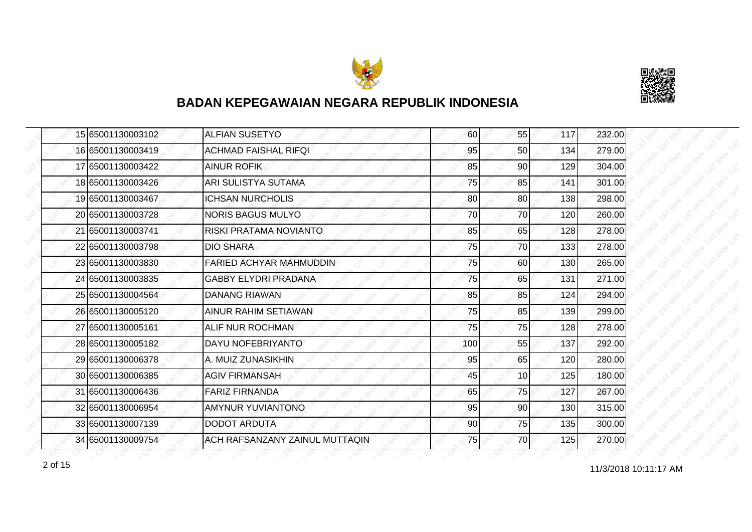



|  | 15 65001130003102 | <b>ALFIAN SUSETYO</b>          | 60  | 55              | 117 | 232.00 |
|--|-------------------|--------------------------------|-----|-----------------|-----|--------|
|  | 16 65001130003419 | <b>ACHMAD FAISHAL RIFQI</b>    | 95  | 50              | 134 | 279.00 |
|  | 17 65001130003422 | <b>AINUR ROFIK</b>             | 85  | 90              | 129 | 304.00 |
|  | 18 65001130003426 | ARI SULISTYA SUTAMA            | 75  | 85              | 141 | 301.00 |
|  | 19 65001130003467 | ICHSAN NURCHOLIS               | 80  | 80              | 138 | 298.00 |
|  | 20 65001130003728 | <b>NORIS BAGUS MULYO</b>       | 70  | 70              | 120 | 260.00 |
|  | 21 65001130003741 | RISKI PRATAMA NOVIANTO         | 85  | 65              | 128 | 278.00 |
|  | 22 65001130003798 | <b>DIO SHARA</b>               | 75  | 70              | 133 | 278.00 |
|  | 23 65001130003830 | FARIED ACHYAR MAHMUDDIN        | 75  | 60              | 130 | 265.00 |
|  | 24 65001130003835 | <b>GABBY ELYDRI PRADANA</b>    | 75  | 65              | 131 | 271.00 |
|  | 25 65001130004564 | <b>DANANG RIAWAN</b>           | 85  | 85              | 124 | 294.00 |
|  | 26 65001130005120 | <b>AINUR RAHIM SETIAWAN</b>    | 75  | 85              | 139 | 299.00 |
|  | 27 65001130005161 | ALIF NUR ROCHMAN               | 75  | 75              | 128 | 278.00 |
|  | 28 65001130005182 | DAYU NOFEBRIYANTO              | 100 | 55              | 137 | 292.00 |
|  | 29 65001130006378 | A. MUIZ ZUNASIKHIN             | 95  | 65              | 120 | 280.00 |
|  | 30 65001130006385 | <b>AGIV FIRMANSAH</b>          | 45  | 10 <sup>1</sup> | 125 | 180.00 |
|  | 31 65001130006436 | <b>FARIZ FIRNANDA</b>          | 65  | 75              | 127 | 267.00 |
|  | 32165001130006954 | AMYNUR YUVIANTONO              | 95  | 90              | 130 | 315.00 |
|  | 33 65001130007139 | <b>DODOT ARDUTA</b>            | 90  | 75              | 135 | 300.00 |
|  | 34 65001130009754 | ACH RAFSANZANY ZAINUL MUTTAQIN | 75  | 70              | 125 | 270.00 |

11/3/2018 10:11:17 AM 2 of 15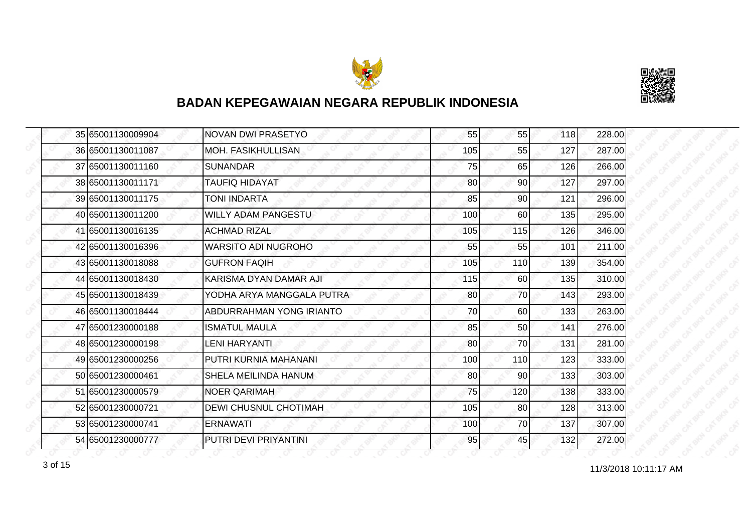



|  | 35 65001130009904 | <b>NOVAN DWI PRASETYO</b>    | 55  | 55              | 118 | 228.00 |
|--|-------------------|------------------------------|-----|-----------------|-----|--------|
|  | 36 65001130011087 | MOH. FASIKHULLISAN           | 105 | 55              | 127 | 287.00 |
|  | 37 65001130011160 | <b>SUNANDAR</b>              | 75  | 65              | 126 | 266.00 |
|  | 38 65001130011171 | <b>TAUFIQ HIDAYAT</b>        | 80  | 90 <sub>l</sub> | 127 | 297.00 |
|  | 39 65001130011175 | TONI INDARTA                 | 85  | 90 <sub>0</sub> | 121 | 296.00 |
|  | 40 65001130011200 | <b>WILLY ADAM PANGESTU</b>   | 100 | 60              | 135 | 295.00 |
|  | 41 65001130016135 | <b>ACHMAD RIZAL</b>          | 105 | 115             | 126 | 346.00 |
|  | 42 65001130016396 | <b>WARSITO ADI NUGROHO</b>   | 55  | 55              | 101 | 211.00 |
|  | 43 65001130018088 | <b>GUFRON FAQIH</b>          | 105 | 110             | 139 | 354.00 |
|  | 44 65001130018430 | KARISMA DYAN DAMAR AJI       | 115 | 60              | 135 | 310.00 |
|  | 45 65001130018439 | YODHA ARYA MANGGALA PUTRA    | 80  | 70I             | 143 | 293.00 |
|  | 46 65001130018444 | ABDURRAHMAN YONG IRIANTO     | 70  | 60              | 133 | 263.00 |
|  | 47 65001230000188 | <b>ISMATUL MAULA</b>         | 85  | 50              | 141 | 276.00 |
|  | 48 65001230000198 | <b>LENI HARYANTI</b>         | 80  | 70I             | 131 | 281.00 |
|  | 49 65001230000256 | PUTRI KURNIA MAHANANI        | 100 | 110             | 123 | 333.00 |
|  | 50 65001230000461 | SHELA MEILINDA HANUM         | 80  | 90 <sub>0</sub> | 133 | 303.00 |
|  | 51 65001230000579 | <b>NOER QARIMAH</b>          | 75  | 120             | 138 | 333.00 |
|  | 52 65001230000721 | <b>DEWI CHUSNUL CHOTIMAH</b> | 105 | 80              | 128 | 313.00 |
|  | 53 65001230000741 | <b>ERNAWATI</b>              | 100 | 70              | 137 | 307.00 |
|  | 54 65001230000777 | PUTRI DEVI PRIYANTINI        | 95  | <sup>45</sup>   | 132 | 272.00 |

11/3/2018 10:11:17 AM 3 of 15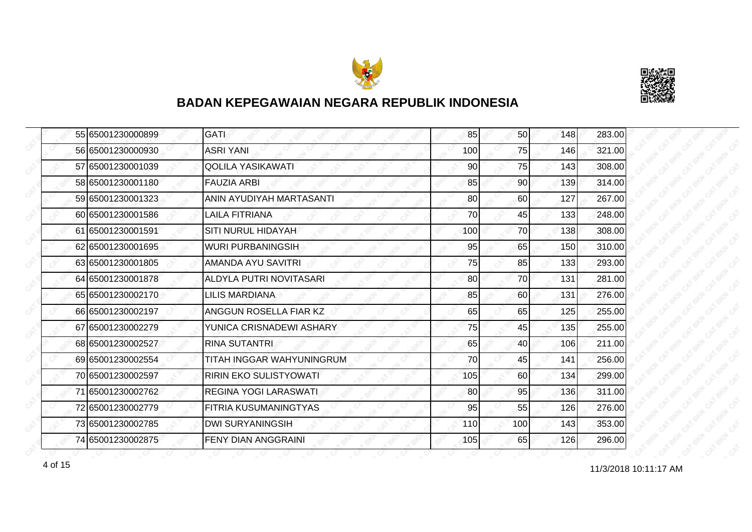



|  | 55 65001230000899 | <b>GATI</b>                    | 85  | 50  | 148 | 283.00 |
|--|-------------------|--------------------------------|-----|-----|-----|--------|
|  | 56 65001230000930 | <b>ASRI YANI</b>               | 100 | 75  | 146 | 321.00 |
|  | 57 65001230001039 | <b>QOLILA YASIKAWATI</b>       | 90  | 75  | 143 | 308.00 |
|  | 58 65001230001180 | <b>FAUZIA ARBI</b>             | 85  | 90  | 139 | 314.00 |
|  | 59 65001230001323 | ANIN AYUDIYAH MARTASANTI       | 80  | 60  | 127 | 267.00 |
|  | 60 65001230001586 | <b>LAILA FITRIANA</b>          | 70  | 45  | 133 | 248.00 |
|  | 61 65001230001591 | <b>SITI NURUL HIDAYAH</b>      | 100 | 70  | 138 | 308.00 |
|  | 62 65001230001695 | <b>WURI PURBANINGSIH</b>       | 95  | 65  | 150 | 310.00 |
|  | 63 65001230001805 | <b>AMANDA AYU SAVITRI</b>      | 75  | 85  | 133 | 293.00 |
|  | 64 65001230001878 | <b>ALDYLA PUTRI NOVITASARI</b> | 80  | 70  | 131 | 281.00 |
|  | 65 65001230002170 | <b>LILIS MARDIANA</b>          | 85  | 60  | 131 | 276.00 |
|  | 66 65001230002197 | ANGGUN ROSELLA FIAR KZ         | 65  | 65  | 125 | 255.00 |
|  | 67 65001230002279 | YUNICA CRISNADEWI ASHARY       | 75  | 45  | 135 | 255.00 |
|  | 68 65001230002527 | <b>RINA SUTANTRI</b>           | 65  | 40  | 106 | 211.00 |
|  | 69 65001230002554 | TITAH INGGAR WAHYUNINGRUM      | 70  | 45  | 141 | 256.00 |
|  | 70 65001230002597 | <b>RIRIN EKO SULISTYOWATI</b>  | 105 | 60  | 134 | 299.00 |
|  | 71 65001230002762 | <b>REGINA YOGI LARASWATI</b>   | 80  | 95  | 136 | 311.00 |
|  | 72 65001230002779 | FITRIA KUSUMANINGTYAS          | 95  | 55  | 126 | 276.00 |
|  | 73 65001230002785 | <b>DWI SURYANINGSIH</b>        | 110 | 100 | 143 | 353.00 |
|  | 74 65001230002875 | <b>FENY DIAN ANGGRAINI</b>     | 105 | 65  | 126 | 296.00 |

11/3/2018 10:11:17 AM 4 of 15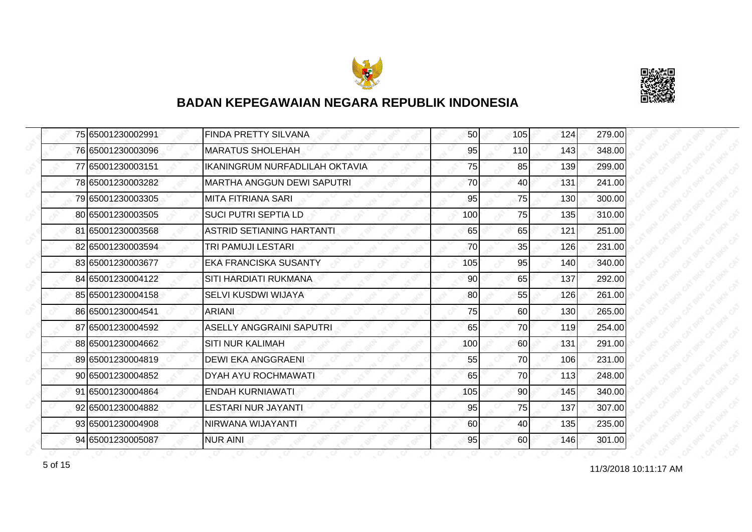



|  | 75 65001230002991 | <b>FINDA PRETTY SILVANA</b>      | 50  | 105       | 124 | 279.00 |
|--|-------------------|----------------------------------|-----|-----------|-----|--------|
|  | 76 65001230003096 | <b>MARATUS SHOLEHAH</b>          | 95  | 110       | 143 | 348.00 |
|  | 77 65001230003151 | IKANINGRUM NURFADLILAH OKTAVIA   | 75  | 85        | 139 | 299.00 |
|  | 78 65001230003282 | MARTHA ANGGUN DEWI SAPUTRI       | 70  | 40        | 131 | 241.00 |
|  | 79 65001230003305 | MITA FITRIANA SARI               | 95  | 75        | 130 | 300.00 |
|  | 80 65001230003505 | <b>SUCI PUTRI SEPTIA LD</b>      | 100 | 75        | 135 | 310.00 |
|  | 81 65001230003568 | <b>ASTRID SETIANING HARTANTI</b> | 65  | 65        | 121 | 251.00 |
|  | 82 65001230003594 | TRI PAMUJI LESTARI               | 70  | 35        | 126 | 231.00 |
|  | 83 65001230003677 | <b>EKA FRANCISKA SUSANTY</b>     | 105 | 95        | 140 | 340.00 |
|  | 84 65001230004122 | SITI HARDIATI RUKMANA            | 90  | 65        | 137 | 292.00 |
|  | 85 65001230004158 | SELVI KUSDWI WIJAYA              | 80  | 55        | 126 | 261.00 |
|  | 86 65001230004541 | <b>ARIANI</b>                    | 75  | 60        | 130 | 265.00 |
|  | 87 65001230004592 | <b>ASELLY ANGGRAINI SAPUTRI</b>  | 65  | 70        | 119 | 254.00 |
|  | 88 65001230004662 | <b>SITI NUR KALIMAH</b>          | 100 | 60        | 131 | 291.00 |
|  | 89 65001230004819 | <b>DEWI EKA ANGGRAENI</b>        | 55  | 70        | 106 | 231.00 |
|  | 90 65001230004852 | <b>DYAH AYU ROCHMAWATI</b>       | 65  | 70        | 113 | 248.00 |
|  | 91 65001230004864 | <b>ENDAH KURNIAWATI</b>          | 105 | 90        | 145 | 340.00 |
|  | 92 65001230004882 | LESTARI NUR JAYANTI              | 95  | 75        | 137 | 307.00 |
|  | 93 65001230004908 | NIRWANA WIJAYANTI                | 60  | 40        | 135 | 235.00 |
|  | 94 65001230005087 | <b>NUR AINI</b>                  | 95  | <b>60</b> | 146 | 301.00 |

11/3/2018 10:11:17 AM 5 of 15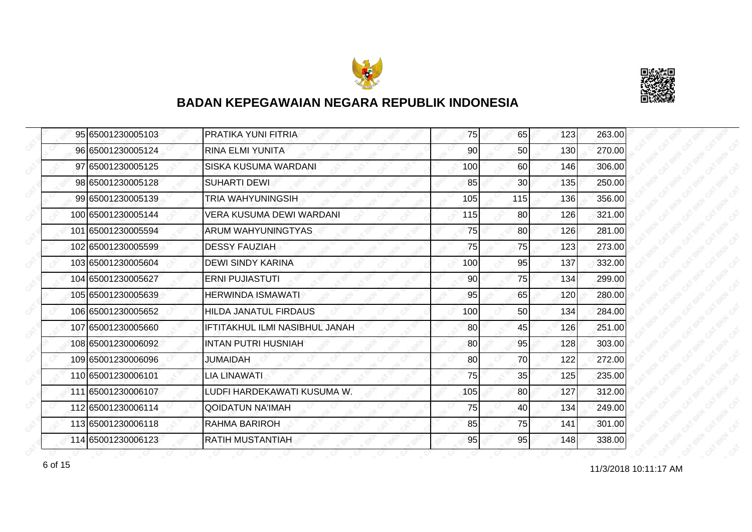



|  | 95 65001230005103  | PRATIKA YUNI FITRIA            | 75  | 65              | 123 | 263.00 |
|--|--------------------|--------------------------------|-----|-----------------|-----|--------|
|  | 96 65001230005124  | <b>RINA ELMI YUNITA</b>        | 90  | 50              | 130 | 270.00 |
|  | 97 65001230005125  | SISKA KUSUMA WARDANI           | 100 | 60              | 146 | 306.00 |
|  | 98 65001230005128  | <b>SUHARTI DEWI</b>            | 85  | 30 <sub>l</sub> | 135 | 250.00 |
|  | 99 65001230005139  | TRIA WAHYUNINGSIH              | 105 | 115             | 136 | 356.00 |
|  | 100 65001230005144 | VERA KUSUMA DEWI WARDANI       | 115 | 80              | 126 | 321.00 |
|  | 101 65001230005594 | ARUM WAHYUNINGTYAS             | 75  | 80              | 126 | 281.00 |
|  | 102 65001230005599 | <b>DESSY FAUZIAH</b>           | 75  | 75              | 123 | 273.00 |
|  | 103165001230005604 | <b>DEWI SINDY KARINA</b>       | 100 | 95              | 137 | 332.00 |
|  | 104 65001230005627 | <b>ERNI PUJIASTUTI</b>         | 90  | 75              | 134 | 299.00 |
|  | 105 65001230005639 | <b>HERWINDA ISMAWATI</b>       | 95  | 65              | 120 | 280.00 |
|  | 106165001230005652 | <b>HILDA JANATUL FIRDAUS</b>   | 100 | 50              | 134 | 284.00 |
|  | 107 65001230005660 | IFTITAKHUL ILMI NASIBHUL JANAH | 80  | 45              | 126 | 251.00 |
|  | 108 65001230006092 | <b>INTAN PUTRI HUSNIAH</b>     | 80  | 95              | 128 | 303.00 |
|  | 109165001230006096 | JUMAIDAH                       | 80  | 70              | 122 | 272.00 |
|  | 110 65001230006101 | LIA LINAWATI                   | 75  | 35              | 125 | 235.00 |
|  | 111 65001230006107 | LUDFI HARDEKAWATI KUSUMA W.    | 105 | 80              | 127 | 312.00 |
|  | 112 65001230006114 | QOIDATUN NA'IMAH               | 75  | 40              | 134 | 249.00 |
|  | 113 65001230006118 | <b>RAHMA BARIROH</b>           | 85  | 75              | 141 | 301.00 |
|  | 114 65001230006123 | <b>RATIH MUSTANTIAH</b>        | 95  | 95              | 148 | 338.00 |

11/3/2018 10:11:17 AM 6 of 15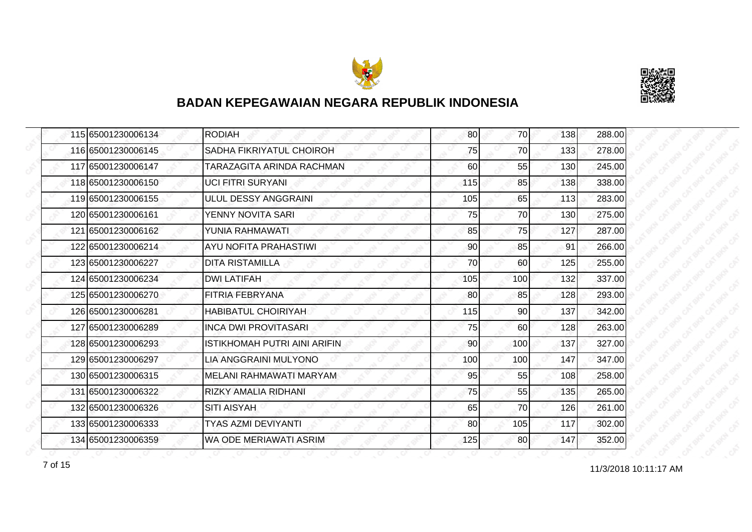



|  | 115 65001230006134 | <b>RODIAH</b>                       | 80  | 70  | 138 | 288.00 |
|--|--------------------|-------------------------------------|-----|-----|-----|--------|
|  | 116 65001230006145 | SADHA FIKRIYATUL CHOIROH            | 75  | 70  | 133 | 278.00 |
|  | 117 65001230006147 | TARAZAGITA ARINDA RACHMAN           | 60  | 55  | 130 | 245.00 |
|  | 118 65001230006150 | <b>UCI FITRI SURYANI</b>            | 115 | 85  | 138 | 338.00 |
|  | 119 65001230006155 | ULUL DESSY ANGGRAINI                | 105 | 65  | 113 | 283.00 |
|  | 120165001230006161 | YENNY NOVITA SARI                   | 75  | 70  | 130 | 275.00 |
|  | 121 65001230006162 | YUNIA RAHMAWATI                     | 85  | 75  | 127 | 287.00 |
|  | 122 65001230006214 | AYU NOFITA PRAHASTIWI               | 90  | 85  | 91  | 266.00 |
|  | 123 65001230006227 | <b>DITA RISTAMILLA</b>              | 70  | 60  | 125 | 255.00 |
|  | 124 65001230006234 | <b>DWI LATIFAH</b>                  | 105 | 100 | 132 | 337.00 |
|  | 125 65001230006270 | <b>FITRIA FEBRYANA</b>              | 80  | 85  | 128 | 293.00 |
|  | 126 65001230006281 | <b>HABIBATUL CHOIRIYAH</b>          | 115 | 90  | 137 | 342.00 |
|  | 127 65001230006289 | <b>INCA DWI PROVITASARI</b>         | 75  | 60  | 128 | 263.00 |
|  | 128 65001230006293 | <b>ISTIKHOMAH PUTRI AINI ARIFIN</b> | 90  | 100 | 137 | 327.00 |
|  | 129 65001230006297 | LIA ANGGRAINI MULYONO               | 100 | 100 | 147 | 347.00 |
|  | 130 65001230006315 | MELANI RAHMAWATI MARYAM             | 95  | 55  | 108 | 258.00 |
|  | 131 65001230006322 | <b>RIZKY AMALIA RIDHANI</b>         | 75  | 55  | 135 | 265.00 |
|  | 132165001230006326 | SITI AISYAH                         | 65  | 70  | 126 | 261.00 |
|  | 133 65001230006333 | <b>TYAS AZMI DEVIYANTI</b>          | 80  | 105 | 117 | 302.00 |
|  | 134 65001230006359 | WA ODE MERIAWATI ASRIM              | 125 | 80  | 147 | 352.00 |

11/3/2018 10:11:17 AM 7 of 15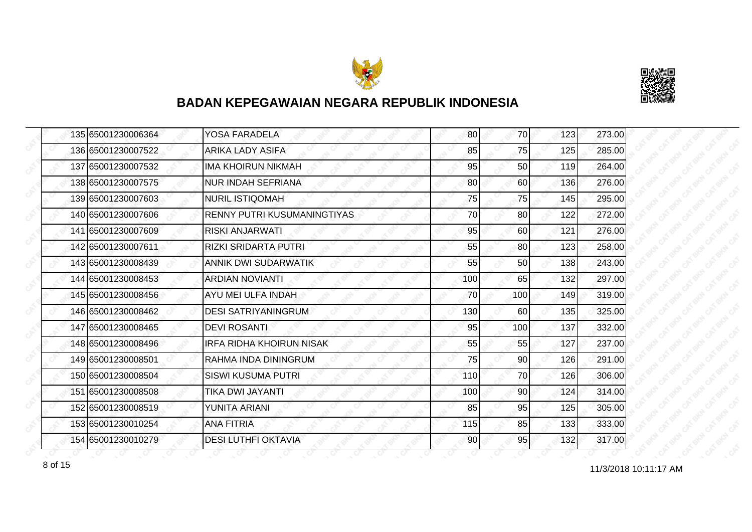



| 135 65001230006364 | YOSA FARADELA                      | 80  | 70  | 123 | 273.00 |
|--------------------|------------------------------------|-----|-----|-----|--------|
| 136 65001230007522 | ARIKA LADY ASIFA                   | 85  | 75  | 125 | 285.00 |
| 137 65001230007532 | <b>IMA KHOIRUN NIKMAH</b>          | 95  | 50  | 119 | 264.00 |
| 138 65001230007575 | <b>NUR INDAH SEFRIANA</b>          | 80  | 60  | 136 | 276.00 |
| 139 65001230007603 | <b>NURIL ISTIQOMAH</b>             | 75  | 75  | 145 | 295.00 |
| 140 65001230007606 | <b>RENNY PUTRI KUSUMANINGTIYAS</b> | 70  | 80  | 122 | 272.00 |
| 141 65001230007609 | <b>RISKI ANJARWATI</b>             | 95  | 60I | 121 | 276.00 |
| 142 65001230007611 | <b>RIZKI SRIDARTA PUTRI</b>        | 55  | 80  | 123 | 258.00 |
| 143 65001230008439 | ANNIK DWI SUDARWATIK               | 55  | 50  | 138 | 243.00 |
| 144 65001230008453 | <b>ARDIAN NOVIANTI</b>             | 100 | 65  | 132 | 297.00 |
| 145 65001230008456 | AYU MEI ULFA INDAH                 | 70  | 100 | 149 | 319.00 |
| 146 65001230008462 | <b>DESI SATRIYANINGRUM</b>         | 130 | 60  | 135 | 325.00 |
| 147 65001230008465 | <b>DEVI ROSANTI</b>                | 95  | 100 | 137 | 332.00 |
| 148 65001230008496 | <b>IRFA RIDHA KHOIRUN NISAK</b>    | 55  | 55  | 127 | 237.00 |
| 149 65001230008501 | RAHMA INDA DININGRUM               | 75  | 90  | 126 | 291.00 |
| 150 65001230008504 | <b>SISWI KUSUMA PUTRI</b>          | 110 | 70  | 126 | 306.00 |
| 151 65001230008508 | TIKA DWI JAYANTI                   | 100 | 90  | 124 | 314.00 |
| 152 65001230008519 | YUNITA ARIANI                      | 85  | 95  | 125 | 305.00 |
| 153 65001230010254 | <b>ANA FITRIA</b>                  | 115 | 85  | 133 | 333.00 |
| 154 65001230010279 | <b>DESI LUTHFI OKTAVIA</b>         | 90  | 95  | 132 | 317.00 |

11/3/2018 10:11:17 AM 8 of 15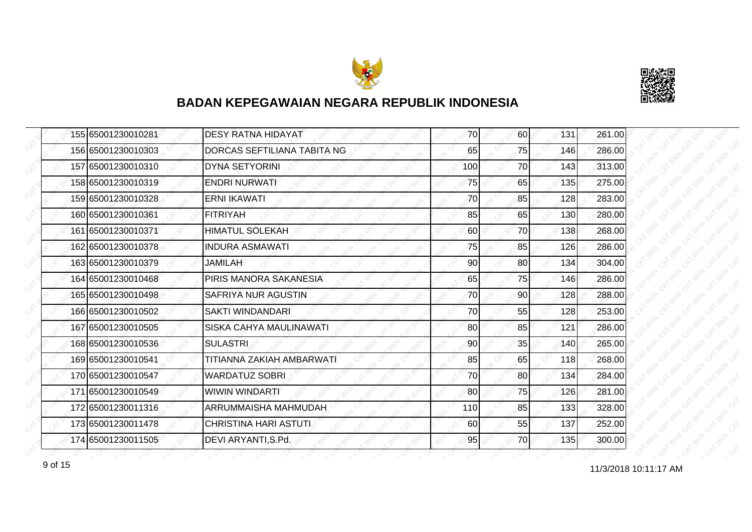



| 155 65001230010281 | <b>DESY RATNA HIDAYAT</b>   | 70  | 60  | 131 | 261.00 |
|--------------------|-----------------------------|-----|-----|-----|--------|
| 156 65001230010303 | DORCAS SEFTILIANA TABITA NG | 65  | 75  | 146 | 286.00 |
| 157 65001230010310 | <b>DYNA SETYORINI</b>       | 100 | 70  | 143 | 313.00 |
| 158 65001230010319 | <b>ENDRI NURWATI</b>        | 75  | 65  | 135 | 275.00 |
| 159 65001230010328 | <b>ERNI IKAWATI</b>         | 70  | 85  | 128 | 283.00 |
| 160 65001230010361 | <b>FITRIYAH</b>             | 85  | 65  | 130 | 280.00 |
| 161 65001230010371 | <b>HIMATUL SOLEKAH</b>      | 60  | 70I | 138 | 268.00 |
| 162 65001230010378 | <b>INDURA ASMAWATI</b>      | 75  | 85  | 126 | 286.00 |
| 163 65001230010379 | <b>JAMILAH</b>              | 90  | 80  | 134 | 304.00 |
| 164 65001230010468 | PIRIS MANORA SAKANESIA      | 65  | 75  | 146 | 286.00 |
| 165 65001230010498 | SAFRIYA NUR AGUSTIN         | 70  | 90  | 128 | 288.00 |
| 166 65001230010502 | SAKTI WINDANDARI            | 70  | 55  | 128 | 253.00 |
| 167 65001230010505 | SISKA CAHYA MAULINAWATI     | 80  | 85  | 121 | 286.00 |
| 168 65001230010536 | <b>SULASTRI</b>             | 90  | 35  | 140 | 265.00 |
| 169 65001230010541 | TITIANNA ZAKIAH AMBARWATI   | 85  | 65  | 118 | 268.00 |
| 170 65001230010547 | <b>WARDATUZ SOBRI</b>       | 70  | 80  | 134 | 284.00 |
| 171 65001230010549 | <b>WIWIN WINDARTI</b>       | 80  | 75  | 126 | 281.00 |
| 172 65001230011316 | ARRUMMAISHA MAHMUDAH        | 110 | 85  | 133 | 328.00 |
| 173 65001230011478 | CHRISTINA HARI ASTUTI       | 60  | 55  | 137 | 252.00 |
| 174 65001230011505 | DEVI ARYANTI, S.Pd.         | 95  | 70I | 135 | 300.00 |

11/3/2018 10:11:17 AM 9 of 15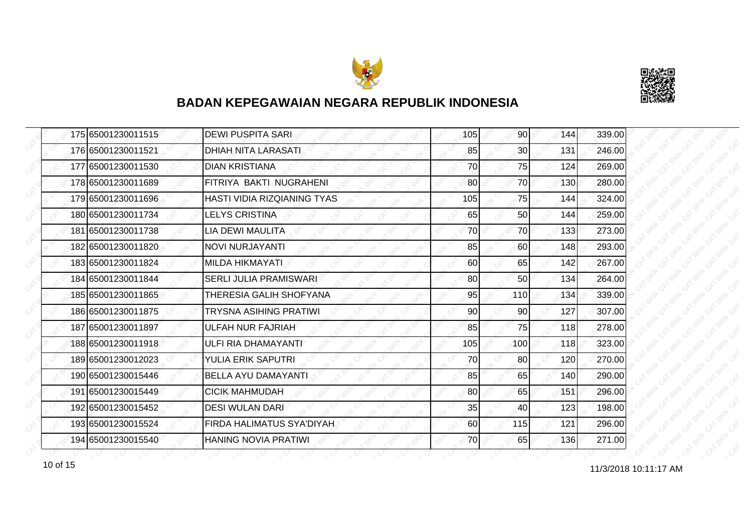



| 175 65001230011515 | <b>DEWI PUSPITA SARI</b>         | 105 | 90              | 144 | 339.00 |
|--------------------|----------------------------------|-----|-----------------|-----|--------|
| 176 65001230011521 | DHIAH NITA LARASATI              | 85  | 30 <sup>1</sup> | 131 | 246.00 |
| 177 65001230011530 | <b>DIAN KRISTIANA</b>            | 70  | 75              | 124 | 269.00 |
| 178 65001230011689 | FITRIYA BAKTI NUGRAHENI          | 80  | 70              | 130 | 280.00 |
| 179 65001230011696 | HASTI VIDIA RIZQIANING TYAS      | 105 | 75              | 144 | 324.00 |
| 180 65001230011734 | <b>LELYS CRISTINA</b>            | 65  | 50              | 144 | 259.00 |
| 181 65001230011738 | <b>LIA DEWI MAULITA</b>          | 70  | <b>70</b>       | 133 | 273.00 |
| 182 65001230011820 | NOVI NURJAYANTI                  | 85  | 60              | 148 | 293.00 |
| 183 65001230011824 | <b>MILDA HIKMAYATI</b>           | 60  | 65              | 142 | 267.00 |
| 184 65001230011844 | SERLI JULIA PRAMISWARI           | 80  | 50 <sub>l</sub> | 134 | 264.00 |
| 185 65001230011865 | THERESIA GALIH SHOFYANA          | 95  | 110             | 134 | 339.00 |
| 186 65001230011875 | TRYSNA ASIHING PRATIWI           | 90  | 90              | 127 | 307.00 |
| 187 65001230011897 | ULFAH NUR FAJRIAH                | 85  | 75              | 118 | 278.00 |
| 188 65001230011918 | ULFI RIA DHAMAYANTI              | 105 | 100             | 118 | 323.00 |
| 189 65001230012023 | YULIA ERIK SAPUTRI               | 70  | 80              | 120 | 270.00 |
| 190 65001230015446 | <b>BELLA AYU DAMAYANTI</b>       | 85  | 65              | 140 | 290.00 |
| 191 65001230015449 | <b>CICIK MAHMUDAH</b>            | 80  | 65              | 151 | 296.00 |
| 192 65001230015452 | <b>DESI WULAN DARI</b>           | 35  | 40              | 123 | 198.00 |
| 193 65001230015524 | <b>FIRDA HALIMATUS SYA'DIYAH</b> | 60  | 115             | 121 | 296.00 |
| 194 65001230015540 | <b>HANING NOVIA PRATIWI</b>      | 70  | 65              | 136 | 271.00 |

11/3/2018 10:11:17 AM 10 of 15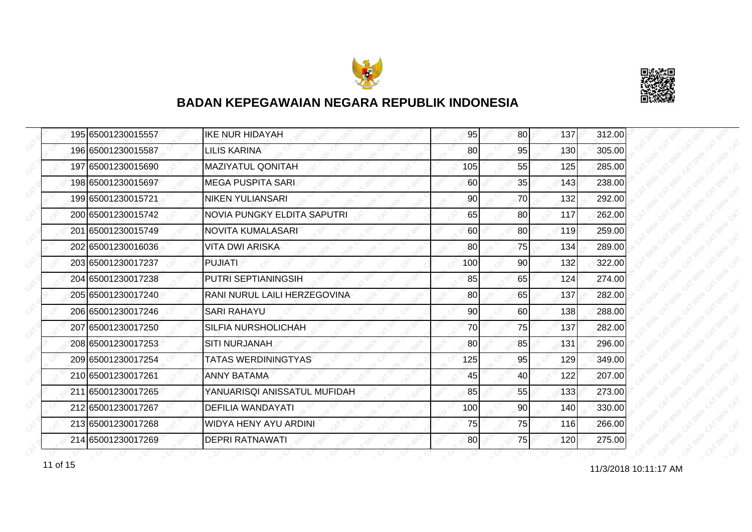



|  | 195 65001230015557 | <b>IKE NUR HIDAYAH</b>       | 95  | 80  | 137 | 312.00 |
|--|--------------------|------------------------------|-----|-----|-----|--------|
|  | 196 65001230015587 | <b>LILIS KARINA</b>          | 80  | 95  | 130 | 305.00 |
|  | 197165001230015690 | <b>MAZIYATUL QONITAH</b>     | 105 | 55  | 125 | 285.00 |
|  | 198 65001230015697 | <b>MEGA PUSPITA SARI</b>     | 60  | 35  | 143 | 238.00 |
|  | 199 65001230015721 | <b>NIKEN YULIANSARI</b>      | 90  | 70  | 132 | 292.00 |
|  | 200 65001230015742 | NOVIA PUNGKY ELDITA SAPUTRI  | 65  | 80  | 117 | 262.00 |
|  | 201 65001230015749 | NOVITA KUMALASARI            | 60  | 80  | 119 | 259.00 |
|  | 202 65001230016036 | VITA DWI ARISKA              | 80  | 75  | 134 | 289.00 |
|  | 203 65001230017237 | <b>PUJIATI</b>               | 100 | 90  | 132 | 322.00 |
|  | 204 65001230017238 | PUTRI SEPTIANINGSIH          | 85  | 65  | 124 | 274.00 |
|  | 205 65001230017240 | RANI NURUL LAILI HERZEGOVINA | 80  | 65  | 137 | 282.00 |
|  | 206 65001230017246 | <b>SARI RAHAYU</b>           | 90  | 60  | 138 | 288.00 |
|  | 207 65001230017250 | <b>SILFIA NURSHOLICHAH</b>   | 70  | 75  | 137 | 282.00 |
|  | 208 65001230017253 | <b>SITI NURJANAH</b>         | 80  | 85  | 131 | 296.00 |
|  | 209 65001230017254 | <b>TATAS WERDININGTYAS</b>   | 125 | 95  | 129 | 349.00 |
|  | 210 65001230017261 | <b>ANNY BATAMA</b>           | 45  | 40  | 122 | 207.00 |
|  | 211 65001230017265 | YANUARISQI ANISSATUL MUFIDAH | 85  | 55  | 133 | 273.00 |
|  | 212 65001230017267 | DEFILIA WANDAYATI            | 100 | 90  | 140 | 330.00 |
|  | 213 65001230017268 | <b>WIDYA HENY AYU ARDINI</b> | 75  | 75  | 116 | 266.00 |
|  | 214 65001230017269 | DEPRI RATNAWATI              | 80  | 75I | 120 | 275.00 |

11/3/2018 10:11:17 AM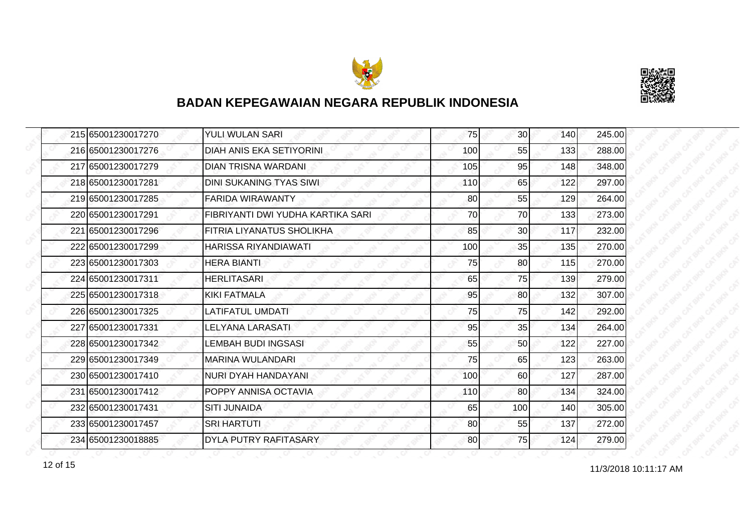



|  | 215 65001230017270 | <b>YULI WULAN SARI</b>            | 75  | 30 <sup>1</sup> | 140 | 245.00 |
|--|--------------------|-----------------------------------|-----|-----------------|-----|--------|
|  | 216 65001230017276 | DIAH ANIS EKA SETIYORINI          | 100 | 55              | 133 | 288.00 |
|  | 217 65001230017279 | <b>DIAN TRISNA WARDANI</b>        | 105 | 95              | 148 | 348.00 |
|  | 218 65001230017281 | DINI SUKANING TYAS SIWI           | 110 | 65              | 122 | 297.00 |
|  | 219 65001230017285 | <b>FARIDA WIRAWANTY</b>           | 80  | 55              | 129 | 264.00 |
|  | 220 65001230017291 | FIBRIYANTI DWI YUDHA KARTIKA SARI | 70  | 70              | 133 | 273.00 |
|  | 221 65001230017296 | IFITRIA LIYANATUS SHOLIKHA        | 85  | 30 <sup>1</sup> | 117 | 232.00 |
|  | 222165001230017299 | HARISSA RIYANDIAWATI              | 100 | 35              | 135 | 270.00 |
|  | 223 65001230017303 | <b>HERA BIANTI</b>                | 75  | 80              | 115 | 270.00 |
|  | 224 65001230017311 | <b>HERLITASARI</b>                | 65  | 75              | 139 | 279.00 |
|  | 225 65001230017318 | <b>KIKI FATMALA</b>               | 95  | 80              | 132 | 307.00 |
|  | 226 65001230017325 | <b>LATIFATUL UMDATI</b>           | 75  | 75              | 142 | 292.00 |
|  | 227 65001230017331 | <b>LELYANA LARASATI</b>           | 95  | 35              | 134 | 264.00 |
|  | 228 65001230017342 | LEMBAH BUDI INGSASI               | 55  | 50              | 122 | 227.00 |
|  | 229 65001230017349 | <b>MARINA WULANDARI</b>           | 75  | 65              | 123 | 263.00 |
|  | 230 65001230017410 | NURI DYAH HANDAYANI               | 100 | 60              | 127 | 287.00 |
|  | 231 65001230017412 | POPPY ANNISA OCTAVIA              | 110 | 80              | 134 | 324.00 |
|  | 232 65001230017431 | <b>SITI JUNAIDA</b>               | 65  | 100             | 140 | 305.00 |
|  | 233 65001230017457 | <b>SRI HARTUTI</b>                | 80  | 55              | 137 | 272.00 |
|  | 234 65001230018885 | <b>DYLA PUTRY RAFITASARY</b>      | 80  | 75              | 124 | 279.00 |

11/3/2018 10:11:17 AM 12 of 15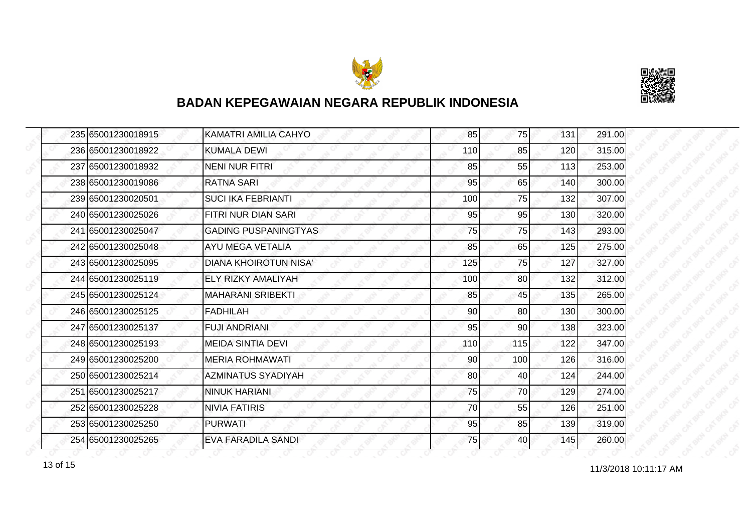



|  | 235165001230018915 | KAMATRI AMILIA CAHYO         | 85  | <b>75</b> | 131 | 291.00 |
|--|--------------------|------------------------------|-----|-----------|-----|--------|
|  | 236 65001230018922 | <b>KUMALA DEWI</b>           | 110 | 85        | 120 | 315.00 |
|  | 237 65001230018932 | <b>NENI NUR FITRI</b>        | 85  | 55        | 113 | 253.00 |
|  | 238 65001230019086 | <b>RATNA SARI</b>            | 95  | 65        | 140 | 300.00 |
|  | 239 65001230020501 | <b>SUCI IKA FEBRIANTI</b>    | 100 | 75        | 132 | 307.00 |
|  | 240 65001230025026 | FITRI NUR DIAN SARI          | 95  | 95        | 130 | 320.00 |
|  | 241 65001230025047 | <b>GADING PUSPANINGTYAS</b>  | 75  | 75        | 143 | 293.00 |
|  | 242 65001230025048 | AYU MEGA VETALIA             | 85  | 65        | 125 | 275.00 |
|  | 243 65001230025095 | <b>DIANA KHOIROTUN NISA'</b> | 125 | 75        | 127 | 327.00 |
|  | 244 65001230025119 | <b>ELY RIZKY AMALIYAH</b>    | 100 | 80        | 132 | 312.00 |
|  | 245 65001230025124 | <b>MAHARANI SRIBEKTI</b>     | 85  | 45        | 135 | 265.00 |
|  | 246 65001230025125 | <b>FADHILAH</b>              | 90  | 80        | 130 | 300.00 |
|  | 247 65001230025137 | <b>FUJI ANDRIANI</b>         | 95  | 90        | 138 | 323.00 |
|  | 248 65001230025193 | <b>MEIDA SINTIA DEVI</b>     | 110 | 115       | 122 | 347.00 |
|  | 249 65001230025200 | <b>MERIA ROHMAWATI</b>       | 90  | 100       | 126 | 316.00 |
|  | 250 65001230025214 | AZMINATUS SYADIYAH           | 80  | 40        | 124 | 244.00 |
|  | 251 65001230025217 | <b>NINUK HARIANI</b>         | 75  | 70        | 129 | 274.00 |
|  | 252165001230025228 | <b>NIVIA FATIRIS</b>         | 70  | 55        | 126 | 251.00 |
|  | 253 65001230025250 | <b>PURWATI</b>               | 95  | 85        | 139 | 319.00 |
|  | 254 65001230025265 | <b>EVA FARADILA SANDI</b>    | 75  | 40        | 145 | 260.00 |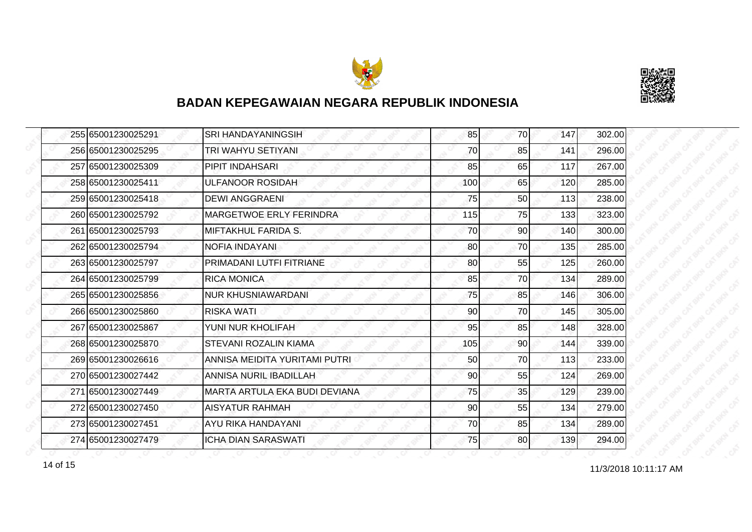



|  | 255 65001230025291 | <b>SRI HANDAYANINGSIH</b>     | 85  | 70 | 147 | 302.00 |
|--|--------------------|-------------------------------|-----|----|-----|--------|
|  | 256 65001230025295 | TRI WAHYU SETIYANI            | 70  | 85 | 141 | 296.00 |
|  | 257 65001230025309 | PIPIT INDAHSARI               | 85  | 65 | 117 | 267.00 |
|  | 258 65001230025411 | <b>ULFANOOR ROSIDAH</b>       | 100 | 65 | 120 | 285.00 |
|  | 259 65001230025418 | <b>DEWI ANGGRAENI</b>         | 75  | 50 | 113 | 238.00 |
|  | 260165001230025792 | MARGETWOE ERLY FERINDRA       | 115 | 75 | 133 | 323.00 |
|  | 261 65001230025793 | <b>MIFTAKHUL FARIDA S.</b>    | 70  | 90 | 140 | 300.00 |
|  | 262 65001230025794 | NOFIA INDAYANI                | 80  | 70 | 135 | 285.00 |
|  | 263 65001230025797 | PRIMADANI LUTFI FITRIANE      | 80  | 55 | 125 | 260.00 |
|  | 264 65001230025799 | <b>RICA MONICA</b>            | 85  | 70 | 134 | 289.00 |
|  | 265 65001230025856 | <b>NUR KHUSNIAWARDANI</b>     | 75  | 85 | 146 | 306.00 |
|  | 266165001230025860 | RISKA WATI                    | 90  | 70 | 145 | 305.00 |
|  | 267 65001230025867 | YUNI NUR KHOLIFAH             | 95  | 85 | 148 | 328.00 |
|  | 268 65001230025870 | STEVANI ROZALIN KIAMA         | 105 | 90 | 144 | 339.00 |
|  | 269 65001230026616 | ANNISA MEIDITA YURITAMI PUTRI | 50  | 70 | 113 | 233.00 |
|  | 270 65001230027442 | ANNISA NURIL IBADILLAH        | 90  | 55 | 124 | 269.00 |
|  | 271 65001230027449 | MARTA ARTULA EKA BUDI DEVIANA | 75  | 35 | 129 | 239.00 |
|  | 272165001230027450 | <b>AISYATUR RAHMAH</b>        | 90  | 55 | 134 | 279.00 |
|  | 273 65001230027451 | AYU RIKA HANDAYANI            | 70  | 85 | 134 | 289.00 |
|  | 274 65001230027479 | <b>ICHA DIAN SARASWATI</b>    | 75  | 80 | 139 | 294.00 |